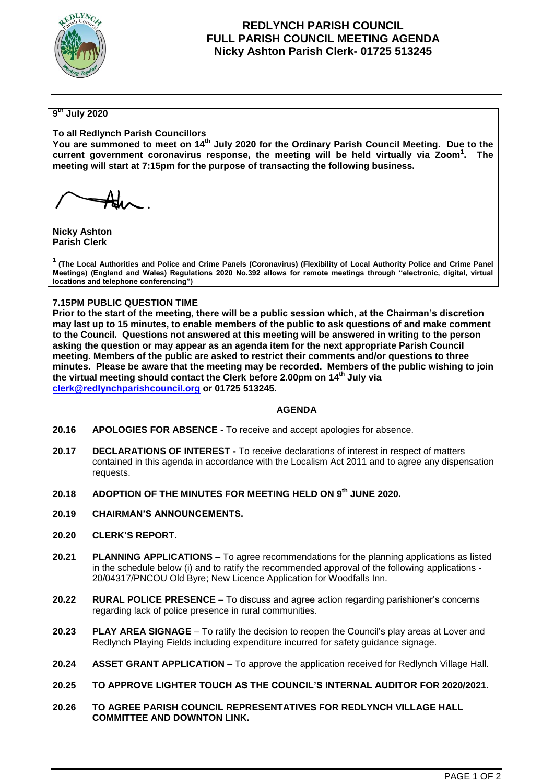

## **REDLYNCH PARISH COUNCIL FULL PARISH COUNCIL MEETING AGENDA Nicky Ashton Parish Clerk- 01725 513245**

## **9 th July 2020**

**To all Redlynch Parish Councillors**

**You are summoned to meet on 14th July 2020 for the Ordinary Parish Council Meeting. Due to the current government coronavirus response, the meeting will be held virtually via Zoom<sup>1</sup> . The meeting will start at 7:15pm for the purpose of transacting the following business.**

**Nicky Ashton Parish Clerk**

**<sup>1</sup>(The Local Authorities and Police and Crime Panels (Coronavirus) (Flexibility of Local Authority Police and Crime Panel Meetings) (England and Wales) Regulations 2020 No.392 allows for remote meetings through "electronic, digital, virtual locations and telephone conferencing")**

### **7.15PM PUBLIC QUESTION TIME**

**Prior to the start of the meeting, there will be a public session which, at the Chairman's discretion may last up to 15 minutes, to enable members of the public to ask questions of and make comment to the Council. Questions not answered at this meeting will be answered in writing to the person asking the question or may appear as an agenda item for the next appropriate Parish Council meeting. Members of the public are asked to restrict their comments and/or questions to three minutes. Please be aware that the meeting may be recorded. Members of the public wishing to join the virtual meeting should contact the Clerk before 2.00pm on 14th July via [clerk@redlynchparishcouncil.org](mailto:clerk@redlynchparishcouncil.org) or 01725 513245.** 

#### **AGENDA**

- **20.16 APOLOGIES FOR ABSENCE -** To receive and accept apologies for absence.
- **20.17 DECLARATIONS OF INTEREST -** To receive declarations of interest in respect of matters contained in this agenda in accordance with the Localism Act 2011 and to agree any dispensation requests.
- **20.18 ADOPTION OF THE MINUTES FOR MEETING HELD ON 9 th JUNE 2020.**
- **20.19 CHAIRMAN'S ANNOUNCEMENTS.**
- **20.20 CLERK'S REPORT.**
- **20.21 PLANNING APPLICATIONS –** To agree recommendations for the planning applications as listed in the schedule below (i) and to ratify the recommended approval of the following applications - 20/04317/PNCOU Old Byre; New Licence Application for Woodfalls Inn.
- **20.22 RURAL POLICE PRESENCE**  To discuss and agree action regarding parishioner's concerns regarding lack of police presence in rural communities.
- **20.23 PLAY AREA SIGNAGE** To ratify the decision to reopen the Council's play areas at Lover and Redlynch Playing Fields including expenditure incurred for safety guidance signage.
- **20.24 ASSET GRANT APPLICATION –** To approve the application received for Redlynch Village Hall.
- **20.25 TO APPROVE LIGHTER TOUCH AS THE COUNCIL'S INTERNAL AUDITOR FOR 2020/2021.**
- **20.26 TO AGREE PARISH COUNCIL REPRESENTATIVES FOR REDLYNCH VILLAGE HALL COMMITTEE AND DOWNTON LINK.**